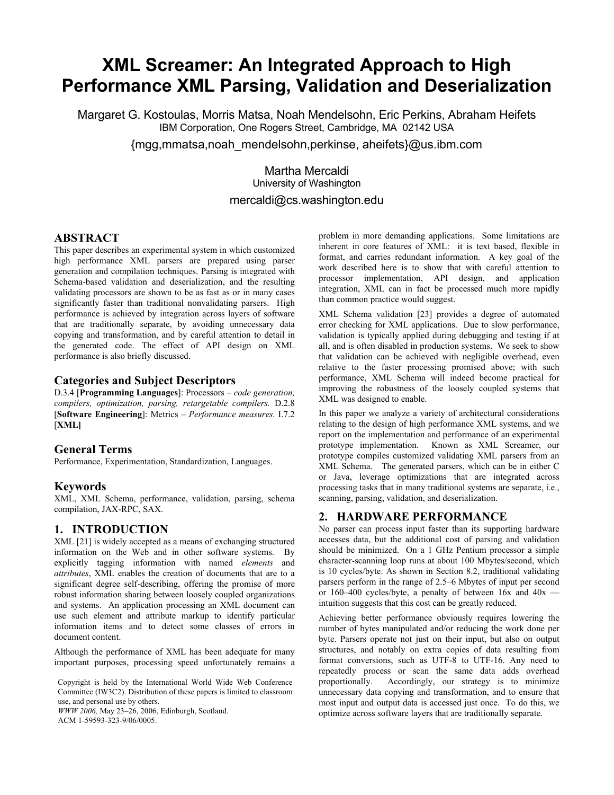# **XML Screamer: An Integrated Approach to High Performance XML Parsing, Validation and Deserialization**

Margaret G. Kostoulas, Morris Matsa, Noah Mendelsohn, Eric Perkins, Abraham Heifets IBM Corporation, One Rogers Street, Cambridge, MA 02142 USA

{mgg,mmatsa,noah\_mendelsohn,perkinse, aheifets}@us.ibm.com

# Martha Mercaldi

University of Washington

# mercaldi@cs.washington.edu

### **ABSTRACT**

This paper describes an experimental system in which customized high performance XML parsers are prepared using parser generation and compilation techniques. Parsing is integrated with Schema-based validation and deserialization, and the resulting validating processors are shown to be as fast as or in many cases significantly faster than traditional nonvalidating parsers. High performance is achieved by integration across layers of software that are traditionally separate, by avoiding unnecessary data copying and transformation, and by careful attention to detail in the generated code. The effect of API design on XML performance is also briefly discussed.

### **Categories and Subject Descriptors**

D.3.4 [**Programming Languages**]: Processors – *code generation, compilers, optimization, parsing, retargetable compilers.* D.2.8 [**Software Engineering**]: Metrics – *Performance measures.* I.7.2 [**XML]**

#### **General Terms**

Performance, Experimentation, Standardization, Languages.

### **Keywords**

XML, XML Schema, performance, validation, parsing, schema compilation, JAX-RPC, SAX.

### **1. INTRODUCTION**

XML [21] is widely accepted as a means of exchanging structured information on the Web and in other software systems. By explicitly tagging information with named *elements* and *attributes*, XML enables the creation of documents that are to a significant degree self-describing, offering the promise of more robust information sharing between loosely coupled organizations and systems. An application processing an XML document can use such element and attribute markup to identify particular information items and to detect some classes of errors in document content.

Although the performance of XML has been adequate for many important purposes, processing speed unfortunately remains a

Copyright is held by the International World Wide Web Conference Committee (IW3C2). Distribution of these papers is limited to classroom use, and personal use by others.

*WWW 2006,* May 23–26, 2006, Edinburgh, Scotland. ACM 1-59593-323-9/06/0005.

problem in more demanding applications. Some limitations are inherent in core features of XML: it is text based, flexible in format, and carries redundant information. A key goal of the work described here is to show that with careful attention to processor implementation, API design, and application integration, XML can in fact be processed much more rapidly than common practice would suggest.

XML Schema validation [23] provides a degree of automated error checking for XML applications. Due to slow performance, validation is typically applied during debugging and testing if at all, and is often disabled in production systems. We seek to show that validation can be achieved with negligible overhead, even relative to the faster processing promised above; with such performance, XML Schema will indeed become practical for improving the robustness of the loosely coupled systems that XML was designed to enable.

In this paper we analyze a variety of architectural considerations relating to the design of high performance XML systems, and we report on the implementation and performance of an experimental prototype implementation. Known as XML Screamer, our prototype compiles customized validating XML parsers from an XML Schema. The generated parsers, which can be in either C or Java, leverage optimizations that are integrated across processing tasks that in many traditional systems are separate, i.e., scanning, parsing, validation, and deserialization.

### **2. HARDWARE PERFORMANCE**

No parser can process input faster than its supporting hardware accesses data, but the additional cost of parsing and validation should be minimized. On a 1 GHz Pentium processor a simple character-scanning loop runs at about 100 Mbytes/second, which is 10 cycles/byte. As shown in Section 8.2, traditional validating parsers perform in the range of 2.5–6 Mbytes of input per second or 160–400 cycles/byte, a penalty of between  $16x$  and  $40x$  intuition suggests that this cost can be greatly reduced.

Achieving better performance obviously requires lowering the number of bytes manipulated and/or reducing the work done per byte. Parsers operate not just on their input, but also on output structures, and notably on extra copies of data resulting from format conversions, such as UTF-8 to UTF-16. Any need to repeatedly process or scan the same data adds overhead proportionally. Accordingly, our strategy is to minimize unnecessary data copying and transformation, and to ensure that most input and output data is accessed just once. To do this, we optimize across software layers that are traditionally separate.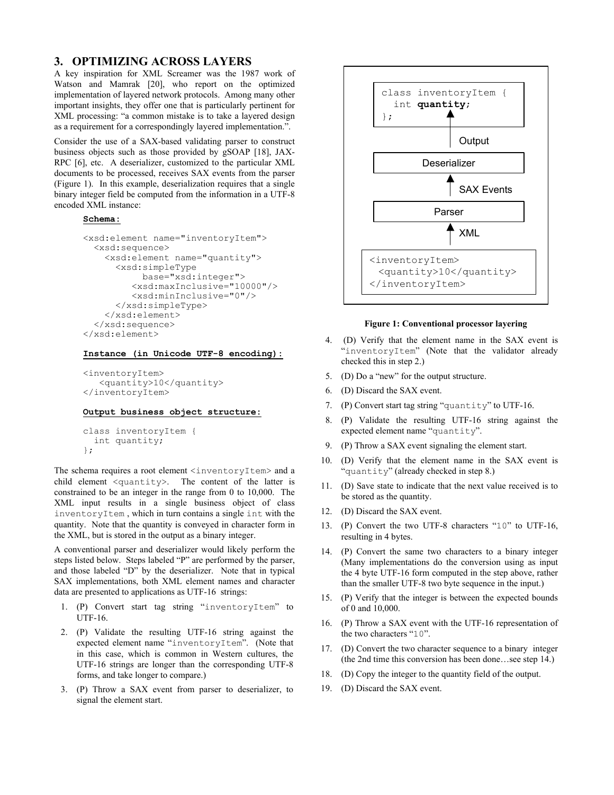### **3. OPTIMIZING ACROSS LAYERS**

A key inspiration for XML Screamer was the 1987 work of Watson and Mamrak [20], who report on the optimized implementation of layered network protocols. Among many other important insights, they offer one that is particularly pertinent for XML processing: "a common mistake is to take a layered design as a requirement for a correspondingly layered implementation.".

Consider the use of a SAX-based validating parser to construct business objects such as those provided by gSOAP [18], JAX-RPC [6], etc. A deserializer, customized to the particular XML documents to be processed, receives SAX events from the parser (Figure 1). In this example, deserialization requires that a single binary integer field be computed from the information in a UTF-8 encoded XML instance:

#### **Schema:**

```
<xsd:element name="inventoryItem"> 
   <xsd:sequence> 
     <xsd:element name="quantity"> 
       <xsd:simpleType 
            base="xsd:integer"> 
           <xsd:maxInclusive="10000"/> 
           <xsd:minInclusive="0"/> 
       </xsd:simpleType> 
     </xsd:element> 
   </xsd:sequence> 
</xsd:element>
```
#### **Instance (in Unicode UTF-8 encoding):**

```
<inventoryItem> 
    <quantity>10</quantity> 
</inventoryItem>
```
#### **Output business object structure:**

```
class inventoryItem { 
   int quantity; 
};
```
The schema requires a root element <inventoryItem> and a child element <quantity>. The content of the latter is constrained to be an integer in the range from 0 to 10,000. The XML input results in a single business object of class inventoryItem , which in turn contains a single int with the quantity. Note that the quantity is conveyed in character form in the XML, but is stored in the output as a binary integer.

A conventional parser and deserializer would likely perform the steps listed below. Steps labeled "P" are performed by the parser, and those labeled "D" by the deserializer. Note that in typical SAX implementations, both XML element names and character data are presented to applications as UTF-16 strings:

- 1. (P) Convert start tag string "inventoryItem" to UTF-16.
- 2. (P) Validate the resulting UTF-16 string against the expected element name "inventoryItem". (Note that in this case, which is common in Western cultures, the UTF-16 strings are longer than the corresponding UTF-8 forms, and take longer to compare.)
- 3. (P) Throw a SAX event from parser to deserializer, to signal the element start.



#### **Figure 1: Conventional processor layering**

- 4. (D) Verify that the element name in the SAX event is "inventoryItem" (Note that the validator already checked this in step 2.)
- 5. (D) Do a "new" for the output structure.
- 6. (D) Discard the SAX event.
- 7. (P) Convert start tag string "quantity" to UTF-16.
- 8. (P) Validate the resulting UTF-16 string against the expected element name "quantity".
- 9. (P) Throw a SAX event signaling the element start.
- 10. (D) Verify that the element name in the SAX event is "quantity" (already checked in step 8.)
- 11. (D) Save state to indicate that the next value received is to be stored as the quantity.
- 12. (D) Discard the SAX event.
- 13. (P) Convert the two UTF-8 characters "10" to UTF-16, resulting in 4 bytes.
- 14. (P) Convert the same two characters to a binary integer (Many implementations do the conversion using as input the 4 byte UTF-16 form computed in the step above, rather than the smaller UTF-8 two byte sequence in the input.)
- 15. (P) Verify that the integer is between the expected bounds of 0 and 10,000.
- 16. (P) Throw a SAX event with the UTF-16 representation of the two characters "10".
- 17. (D) Convert the two character sequence to a binary integer (the 2nd time this conversion has been done…see step 14.)
- 18. (D) Copy the integer to the quantity field of the output.
- 19. (D) Discard the SAX event.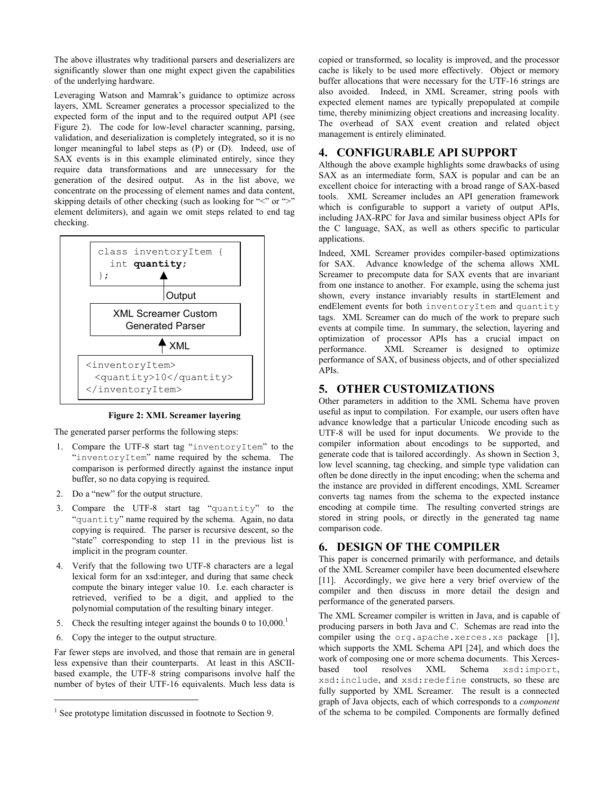The above illustrates why traditional parsers and deserializers are significantly slower than one might expect given the capabilities of the underlying hardware.

Leveraging Watson and Mamrak's guidance to optimize across layers, XML Screamer generates a processor specialized to the expected form of the input and to the required output API (see Figure 2). The code for low-level character scanning, parsing, validation, and deserialization is completely integrated, so it is no longer meaningful to label steps as  $(P)$  or  $(D)$ . Indeed, use of SAX events is in this example eliminated entirely, since they require data transformations and are unnecessary for the generation of the desired output. As in the list above, we concentrate on the processing of element names and data content, skipping details of other checking (such as looking for " $\leq$ " or " $\geq$ " element delimiters), and again we omit steps related to end tag checking.



**Figure 2: XML Screamer layering** 

The generated parser performs the following steps:

- 1. Compare the UTF-8 start tag "inventoryItem" to the "inventoryItem" name required by the schema. The comparison is performed directly against the instance input buffer, so no data copying is required.
- 2. Do a "new" for the output structure.
- 3. Compare the UTF-8 start tag "quantity" to the "quantity" name required by the schema. Again, no data copying is required. The parser is recursive descent, so the "state" corresponding to step 11 in the previous list is implicit in the program counter.
- 4. Verify that the following two UTF-8 characters are a legal lexical form for an xsd:integer, and during that same check compute the binary integer value 10. I.e. each character is retrieved, verified to be a digit, and applied to the polynomial computation of the resulting binary integer.
- 5. Check the resulting integer against the bounds  $0$  to  $10,000$ .<sup>1</sup>
- 6. Copy the integer to the output structure.

1

Far fewer steps are involved, and those that remain are in general less expensive than their counterparts. At least in this ASCIIbased example, the UTF-8 string comparisons involve half the number of bytes of their UTF-16 equivalents. Much less data is

copied or transformed, so locality is improved, and the processor cache is likely to be used more effectively. Object or memory buffer allocations that were necessary for the UTF-16 strings are also avoided. Indeed, in XML Screamer, string pools with expected element names are typically prepopulated at compile time, thereby minimizing object creations and increasing locality. The overhead of SAX event creation and related object management is entirely eliminated.

#### **4. CONFIGURABLE API SUPPORT**

Although the above example highlights some drawbacks of using SAX as an intermediate form, SAX is popular and can be an excellent choice for interacting with a broad range of SAX-based tools. XML Screamer includes an API generation framework which is configurable to support a variety of output APIs, including JAX-RPC for Java and similar business object APIs for the C language, SAX, as well as others specific to particular applications.

Indeed, XML Screamer provides compiler-based optimizations for SAX. Advance knowledge of the schema allows XML Screamer to precompute data for SAX events that are invariant from one instance to another. For example, using the schema just shown, every instance invariably results in startElement and endElement events for both inventoryItem and quantity tags. XML Screamer can do much of the work to prepare such events at compile time. In summary, the selection, layering and optimization of processor APIs has a crucial impact on performance. XML Screamer is designed to optimize performance of SAX, of business objects, and of other specialized APIs.

### **5. OTHER CUSTOMIZATIONS**

Other parameters in addition to the XML Schema have proven useful as input to compilation. For example, our users often have advance knowledge that a particular Unicode encoding such as UTF-8 will be used for input documents. We provide to the compiler information about encodings to be supported, and generate code that is tailored accordingly. As shown in Section 3, low level scanning, tag checking, and simple type validation can often be done directly in the input encoding; when the schema and the instance are provided in different encodings, XML Screamer converts tag names from the schema to the expected instance encoding at compile time. The resulting converted strings are stored in string pools, or directly in the generated tag name comparison code.

### **6. DESIGN OF THE COMPILER**

This paper is concerned primarily with performance, and details of the XML Screamer compiler have been documented elsewhere [11]. Accordingly, we give here a very brief overview of the compiler and then discuss in more detail the design and performance of the generated parsers.

The XML Screamer compiler is written in Java, and is capable of producing parsers in both Java and C. Schemas are read into the compiler using the org.apache.xerces.xs package [1], which supports the XML Schema API [24], and which does the work of composing one or more schema documents. This Xercesbased tool resolves XML Schema xsd:import, xsd:include, and xsd:redefine constructs, so these are fully supported by XML Screamer. The result is a connected graph of Java objects, each of which corresponds to a *component* of the schema to be compiled*.* Components are formally defined

<sup>&</sup>lt;sup>1</sup> See prototype limitation discussed in footnote to Section 9.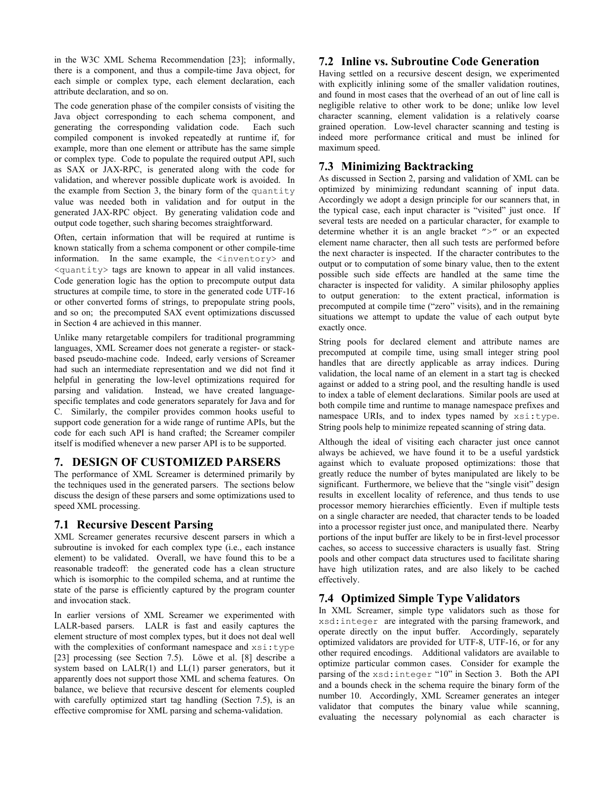in the W3C XML Schema Recommendation [23]; informally, there is a component, and thus a compile-time Java object, for each simple or complex type, each element declaration, each attribute declaration, and so on.

The code generation phase of the compiler consists of visiting the Java object corresponding to each schema component, and generating the corresponding validation code. Each such compiled component is invoked repeatedly at runtime if, for example, more than one element or attribute has the same simple or complex type. Code to populate the required output API, such as SAX or JAX-RPC, is generated along with the code for validation, and wherever possible duplicate work is avoided. In the example from Section 3, the binary form of the quantity value was needed both in validation and for output in the generated JAX-RPC object. By generating validation code and output code together, such sharing becomes straightforward.

Often, certain information that will be required at runtime is known statically from a schema component or other compile-time information. In the same example, the <inventory> and <quantity> tags are known to appear in all valid instances. Code generation logic has the option to precompute output data structures at compile time, to store in the generated code UTF-16 or other converted forms of strings, to prepopulate string pools, and so on; the precomputed SAX event optimizations discussed in Section 4 are achieved in this manner.

Unlike many retargetable compilers for traditional programming languages, XML Screamer does not generate a register- or stackbased pseudo-machine code. Indeed, early versions of Screamer had such an intermediate representation and we did not find it helpful in generating the low-level optimizations required for parsing and validation. Instead, we have created languagespecific templates and code generators separately for Java and for C. Similarly, the compiler provides common hooks useful to support code generation for a wide range of runtime APIs, but the code for each such API is hand crafted; the Screamer compiler itself is modified whenever a new parser API is to be supported.

### **7. DESIGN OF CUSTOMIZED PARSERS**

The performance of XML Screamer is determined primarily by the techniques used in the generated parsers. The sections below discuss the design of these parsers and some optimizations used to speed XML processing.

# **7.1 Recursive Descent Parsing**

XML Screamer generates recursive descent parsers in which a subroutine is invoked for each complex type (i.e., each instance element) to be validated. Overall, we have found this to be a reasonable tradeoff: the generated code has a clean structure which is isomorphic to the compiled schema, and at runtime the state of the parse is efficiently captured by the program counter and invocation stack.

In earlier versions of XML Screamer we experimented with LALR-based parsers. LALR is fast and easily captures the element structure of most complex types, but it does not deal well with the complexities of conformant namespace and  $xsi:type$ [23] processing (see Section 7.5). Löwe et al. [8] describe a system based on LALR(1) and LL(1) parser generators, but it apparently does not support those XML and schema features. On balance, we believe that recursive descent for elements coupled with carefully optimized start tag handling (Section 7.5), is an effective compromise for XML parsing and schema-validation.

### **7.2 Inline vs. Subroutine Code Generation**

Having settled on a recursive descent design, we experimented with explicitly inlining some of the smaller validation routines, and found in most cases that the overhead of an out of line call is negligible relative to other work to be done; unlike low level character scanning, element validation is a relatively coarse grained operation. Low-level character scanning and testing is indeed more performance critical and must be inlined for maximum speed.

### **7.3 Minimizing Backtracking**

As discussed in Section 2, parsing and validation of XML can be optimized by minimizing redundant scanning of input data. Accordingly we adopt a design principle for our scanners that, in the typical case, each input character is "visited" just once. If several tests are needed on a particular character, for example to determine whether it is an angle bracket ">" or an expected element name character, then all such tests are performed before the next character is inspected. If the character contributes to the output or to computation of some binary value, then to the extent possible such side effects are handled at the same time the character is inspected for validity. A similar philosophy applies to output generation: to the extent practical, information is precomputed at compile time ("zero" visits), and in the remaining situations we attempt to update the value of each output byte exactly once.

String pools for declared element and attribute names are precomputed at compile time, using small integer string pool handles that are directly applicable as array indices. During validation, the local name of an element in a start tag is checked against or added to a string pool, and the resulting handle is used to index a table of element declarations. Similar pools are used at both compile time and runtime to manage namespace prefixes and namespace URIs, and to index types named by  $xsi:type$ . String pools help to minimize repeated scanning of string data.

Although the ideal of visiting each character just once cannot always be achieved, we have found it to be a useful yardstick against which to evaluate proposed optimizations: those that greatly reduce the number of bytes manipulated are likely to be significant. Furthermore, we believe that the "single visit" design results in excellent locality of reference, and thus tends to use processor memory hierarchies efficiently. Even if multiple tests on a single character are needed, that character tends to be loaded into a processor register just once, and manipulated there. Nearby portions of the input buffer are likely to be in first-level processor caches, so access to successive characters is usually fast. String pools and other compact data structures used to facilitate sharing have high utilization rates, and are also likely to be cached effectively.

### **7.4 Optimized Simple Type Validators**

In XML Screamer, simple type validators such as those for xsd:integer are integrated with the parsing framework, and operate directly on the input buffer. Accordingly, separately optimized validators are provided for UTF-8, UTF-16, or for any other required encodings. Additional validators are available to optimize particular common cases. Consider for example the parsing of the xsd:integer "10" in Section 3. Both the API and a bounds check in the schema require the binary form of the number 10. Accordingly, XML Screamer generates an integer validator that computes the binary value while scanning, evaluating the necessary polynomial as each character is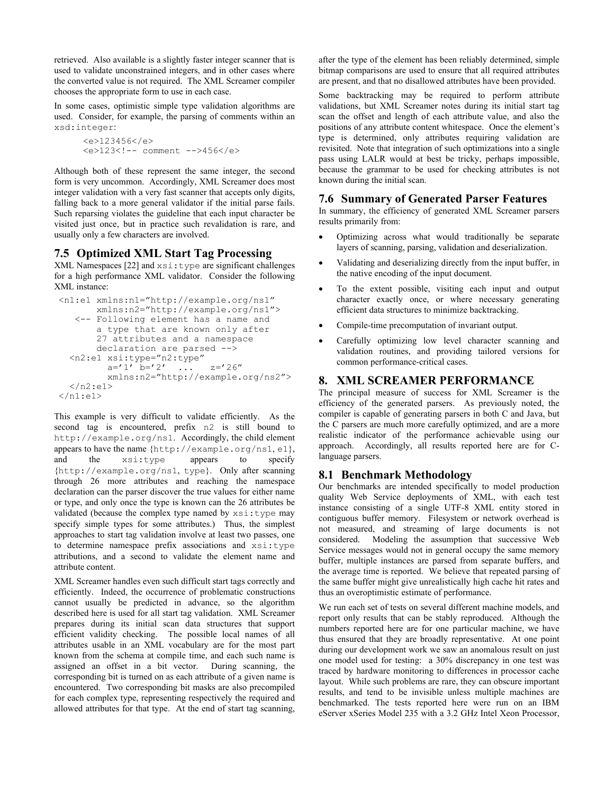retrieved. Also available is a slightly faster integer scanner that is used to validate unconstrained integers, and in other cases where the converted value is not required. The XML Screamer compiler chooses the appropriate form to use in each case.

In some cases, optimistic simple type validation algorithms are used. Consider, for example, the parsing of comments within an xsd:integer:

```
<e>123456</e> 
<e>123<!-- comment -->456</e>
```
Although both of these represent the same integer, the second form is very uncommon. Accordingly, XML Screamer does most integer validation with a very fast scanner that accepts only digits, falling back to a more general validator if the initial parse fails. Such reparsing violates the guideline that each input character be visited just once, but in practice such revalidation is rare, and usually only a few characters are involved.

### **7.5 Optimized XML Start Tag Processing**

XML Namespaces  $[22]$  and  $x\sin y$  type are significant challenges for a high performance XML validator. Consider the following XML instance:

```
<n1:e1 xmlns:n1="http://example.org/ns1" 
         xmlns:n2="http://example.org/ns1"> 
    <-- Following element has a name and 
         a type that are known only after 
         27 attributes and a namespace 
         declaration are parsed --> 
  \text{sn2:el xsi:type} = \text{"n2:type" a} = \text{"1' b} = \text{"2' ... z} = \text{"26"}a=1' 1' b=1' 2' ... xmlns:n2="http://example.org/ns2"> 
  </n2:el>\langle/n1:e1>
```
This example is very difficult to validate efficiently. As the second tag is encountered, prefix n2 is still bound to http://example.org/ns1. Accordingly, the child element appears to have the name {http://example.org/ns1, e1},<br>and the  $x \sin i \text{ type}$  appears to specify xsi:type appears to specify {http://example.org/ns1, type}. Only after scanning through 26 more attributes and reaching the namespace declaration can the parser discover the true values for either name or type, and only once the type is known can the 26 attributes be validated (because the complex type named by xsi:type may specify simple types for some attributes.) Thus, the simplest approaches to start tag validation involve at least two passes, one to determine namespace prefix associations and xsi:type attributions, and a second to validate the element name and attribute content.

XML Screamer handles even such difficult start tags correctly and efficiently. Indeed, the occurrence of problematic constructions cannot usually be predicted in advance, so the algorithm described here is used for all start tag validation. XML Screamer prepares during its initial scan data structures that support efficient validity checking. The possible local names of all attributes usable in an XML vocabulary are for the most part known from the schema at compile time, and each such name is assigned an offset in a bit vector. During scanning, the corresponding bit is turned on as each attribute of a given name is encountered. Two corresponding bit masks are also precompiled for each complex type, representing respectively the required and allowed attributes for that type. At the end of start tag scanning, after the type of the element has been reliably determined, simple bitmap comparisons are used to ensure that all required attributes are present, and that no disallowed attributes have been provided.

Some backtracking may be required to perform attribute validations, but XML Screamer notes during its initial start tag scan the offset and length of each attribute value, and also the positions of any attribute content whitespace. Once the element's type is determined, only attributes requiring validation are revisited. Note that integration of such optimizations into a single pass using LALR would at best be tricky, perhaps impossible, because the grammar to be used for checking attributes is not known during the initial scan.

### **7.6 Summary of Generated Parser Features**

In summary, the efficiency of generated XML Screamer parsers results primarily from:

- Optimizing across what would traditionally be separate layers of scanning, parsing, validation and deserialization.
- Validating and deserializing directly from the input buffer, in the native encoding of the input document.
- To the extent possible, visiting each input and output character exactly once, or where necessary generating efficient data structures to minimize backtracking.
- Compile-time precomputation of invariant output.
- Carefully optimizing low level character scanning and validation routines, and providing tailored versions for common performance-critical cases.

# **8. XML SCREAMER PERFORMANCE**

The principal measure of success for XML Screamer is the efficiency of the generated parsers. As previously noted, the compiler is capable of generating parsers in both C and Java, but the C parsers are much more carefully optimized, and are a more realistic indicator of the performance achievable using our approach. Accordingly, all results reported here are for Clanguage parsers.

# **8.1 Benchmark Methodology**

Our benchmarks are intended specifically to model production quality Web Service deployments of XML, with each test instance consisting of a single UTF-8 XML entity stored in contiguous buffer memory. Filesystem or network overhead is not measured, and streaming of large documents is not considered. Modeling the assumption that successive Web Service messages would not in general occupy the same memory buffer, multiple instances are parsed from separate buffers, and the average time is reported. We believe that repeated parsing of the same buffer might give unrealistically high cache hit rates and thus an overoptimistic estimate of performance.

We run each set of tests on several different machine models, and report only results that can be stably reproduced. Although the numbers reported here are for one particular machine, we have thus ensured that they are broadly representative. At one point during our development work we saw an anomalous result on just one model used for testing: a 30% discrepancy in one test was traced by hardware monitoring to differences in processor cache layout. While such problems are rare, they can obscure important results, and tend to be invisible unless multiple machines are benchmarked. The tests reported here were run on an IBM eServer xSeries Model 235 with a 3.2 GHz Intel Xeon Processor,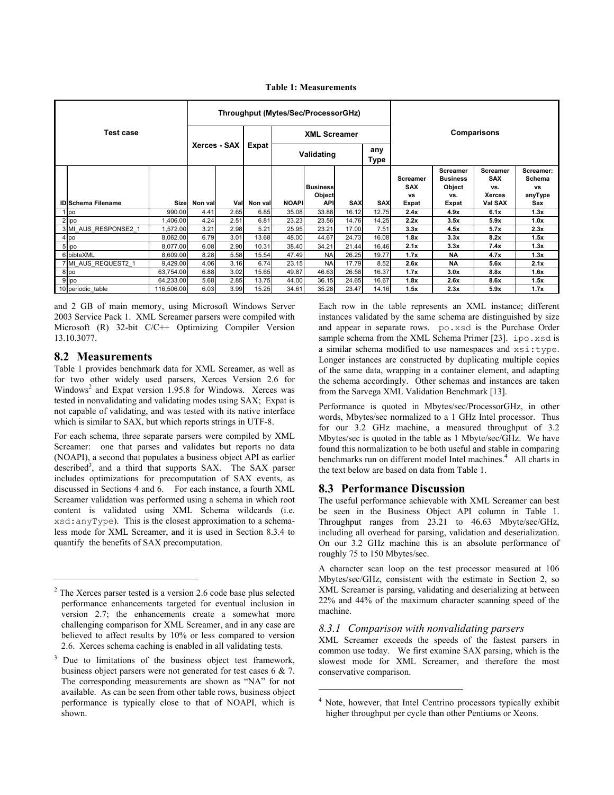| Test case |                           |            | Throughput (Mytes/Sec/ProcessorGHz) |      |         |                     |                           |            |             |                                            |                                              |                                                |                                             |
|-----------|---------------------------|------------|-------------------------------------|------|---------|---------------------|---------------------------|------------|-------------|--------------------------------------------|----------------------------------------------|------------------------------------------------|---------------------------------------------|
|           |                           |            | Xerces - SAX                        |      | Expat   | <b>XML Screamer</b> |                           |            |             | <b>Comparisons</b>                         |                                              |                                                |                                             |
|           |                           |            |                                     |      |         | Validating          |                           |            | any<br>Type |                                            |                                              |                                                |                                             |
|           |                           |            |                                     |      |         |                     | <b>Business</b><br>Object |            |             | <b>Screamer</b><br><b>SAX</b><br><b>VS</b> | Screamer<br><b>Business</b><br>Object<br>vs. | <b>Screamer</b><br><b>SAX</b><br>vs.<br>Xerces | Screamer:<br>Schema<br><b>VS</b><br>anyType |
|           | <b>IDISchema Filename</b> | Size       | Non val                             | Vall | Non val | <b>NOAPI</b>        | <b>API</b>                | <b>SAX</b> | <b>SAX</b>  | Expat                                      | Expat                                        | Val SAX                                        | Sax                                         |
|           | po                        | 990.00     | 4.41                                | 2.65 | 6.85    | 35.08               | 33.88                     | 16.12      | 12.75       | 2.4x                                       | 4.9x                                         | 6.1x                                           | 1.3x                                        |
|           | 2 ipo                     | 1,406.00   | 4.24                                | 2.51 | 6.81    | 23.23               | 23.56                     | 14.76      | 14.25       | 2.2x                                       | 3.5x                                         | 5.9x                                           | 1.0x                                        |
|           | 3 MI AUS RESPONSE2 1      | 1,572.00   | 3.21                                | 2.98 | 5.21    | 25.95               | 23.21                     | 17.00      | 7.51        | 3.3x                                       | 4.5x                                         | 5.7x                                           | 2.3x                                        |
|           | 4 po                      | 8,062.00   | 6.79                                | 3.01 | 13.68   | 48.00               | 44.67                     | 24.73      | 16.08       | 1.8x                                       | 3.3x                                         | 8.2x                                           | 1.5x                                        |
|           | 5 ipo                     | 8.077.00   | 6.08                                | 2.90 | 10.31   | 38.40               | 34.21                     | 21.44      | 16.46       | 2.1x                                       | 3.3x                                         | 7.4x                                           | 1.3x                                        |
|           | 6 bibteXML                | 8,609.00   | 8.28                                | 5.58 | 15.54   | 47.49               | <b>NA</b>                 | 26.25      | 19.77       | 1.7x                                       | <b>NA</b>                                    | 4.7x                                           | 1.3x                                        |
|           | 7 MI AUS REQUEST2 1       | 9,429.00   | 4.06                                | 3.16 | 6.74    | 23.15               | <b>NA</b>                 | 17.79      | 8.52        | 2.6x                                       | <b>NA</b>                                    | 5.6x                                           | 2.1x                                        |
|           | 8 po                      | 63,754.00  | 6.88                                | 3.02 | 15.65   | 49.87               | 46.63                     | 26.58      | 16.37       | 1.7x                                       | 3.0x                                         | 8.8x                                           | 1.6x                                        |
|           | 9 ipo                     | 64,233.00  | 5.68                                | 2.85 | 13.75   | 44.00               | 36.15                     | 24.65      | 16.67       | 1.8x                                       | 2.6x                                         | 8.6x                                           | 1.5x                                        |
|           | 10 periodic table         | 116,506.00 | 6.03                                | 3.99 | 15.25   | 34.61               | 35.28                     | 23.47      | 14.16       | 1.5x                                       | 2.3x                                         | 5.9x                                           | 1.7x                                        |

1

and 2 GB of main memory, using Microsoft Windows Server 2003 Service Pack 1. XML Screamer parsers were compiled with Microsoft (R) 32-bit C/C++ Optimizing Compiler Version 13.10.3077.

#### **8.2 Measurements**

 $\overline{a}$ 

Table 1 provides benchmark data for XML Screamer, as well as for two other widely used parsers, Xerces Version 2.6 for Windows<sup>2</sup> and Expat version 1.95.8 for Windows. Xerces was tested in nonvalidating and validating modes using SAX; Expat is not capable of validating, and was tested with its native interface which is similar to SAX, but which reports strings in UTF-8.

For each schema, three separate parsers were compiled by XML Screamer: one that parses and validates but reports no data (NOAPI), a second that populates a business object API as earlier described<sup>3</sup>, and a third that supports SAX. The SAX parser includes optimizations for precomputation of SAX events, as discussed in Sections 4 and 6. For each instance, a fourth XML Screamer validation was performed using a schema in which root content is validated using XML Schema wildcards (i.e. xsd:anyType). This is the closest approximation to a schemaless mode for XML Screamer, and it is used in Section 8.3.4 to quantify the benefits of SAX precomputation.

Each row in the table represents an XML instance; different instances validated by the same schema are distinguished by size and appear in separate rows. po.xsd is the Purchase Order sample schema from the XML Schema Primer [23]. ipo.xsd is a similar schema modified to use namespaces and xsi:type. Longer instances are constructed by duplicating multiple copies of the same data, wrapping in a container element, and adapting the schema accordingly. Other schemas and instances are taken from the Sarvega XML Validation Benchmark [13].

Performance is quoted in Mbytes/sec/ProcessorGHz, in other words, Mbytes/sec normalized to a 1 GHz Intel processor. Thus for our 3.2 GHz machine, a measured throughput of 3.2 Mbytes/sec is quoted in the table as 1 Mbyte/sec/GHz. We have found this normalization to be both useful and stable in comparing benchmarks run on different model Intel machines.<sup>4</sup> All charts in the text below are based on data from Table 1.

#### **8.3 Performance Discussion**

The useful performance achievable with XML Screamer can best be seen in the Business Object API column in Table 1. Throughput ranges from 23.21 to 46.63 Mbyte/sec/GHz, including all overhead for parsing, validation and deserialization. On our 3.2 GHz machine this is an absolute performance of roughly 75 to 150 Mbytes/sec.

A character scan loop on the test processor measured at 106 Mbytes/sec/GHz, consistent with the estimate in Section 2, so XML Screamer is parsing, validating and deserializing at between 22% and 44% of the maximum character scanning speed of the machine.

#### *8.3.1 Comparison with nonvalidating parsers*

XML Screamer exceeds the speeds of the fastest parsers in common use today. We first examine SAX parsing, which is the slowest mode for XML Screamer, and therefore the most conservative comparison.

<sup>2</sup> The Xerces parser tested is a version 2.6 code base plus selected performance enhancements targeted for eventual inclusion in version 2.7; the enhancements create a somewhat more challenging comparison for XML Screamer, and in any case are believed to affect results by 10% or less compared to version 2.6. Xerces schema caching is enabled in all validating tests.

 $3$  Due to limitations of the business object test framework, business object parsers were not generated for test cases 6 & 7. The corresponding measurements are shown as "NA" for not available. As can be seen from other table rows, business object performance is typically close to that of NOAPI, which is shown.

<sup>4</sup> Note, however, that Intel Centrino processors typically exhibit higher throughput per cycle than other Pentiums or Xeons.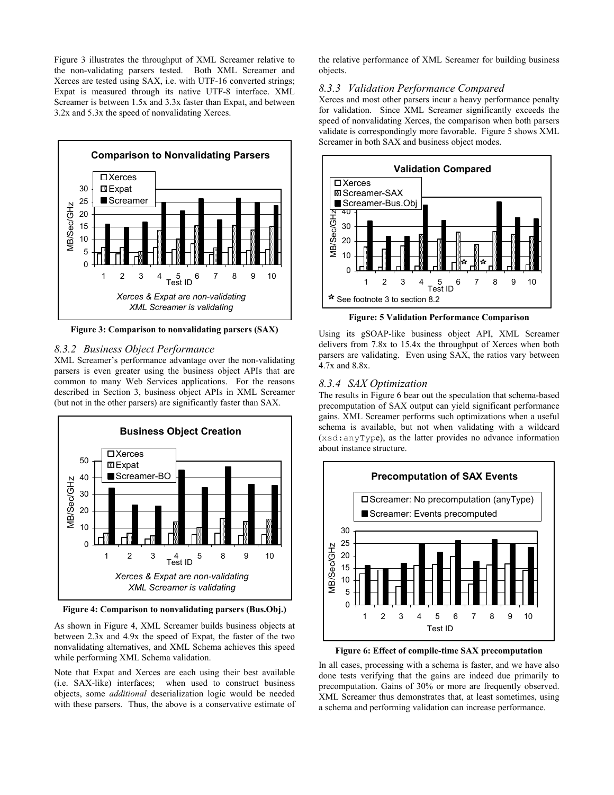Figure 3 illustrates the throughput of XML Screamer relative to the non-validating parsers tested. Both XML Screamer and Xerces are tested using SAX, i.e. with UTF-16 converted strings; Expat is measured through its native UTF-8 interface. XML Screamer is between 1.5x and 3.3x faster than Expat, and between 3.2x and 5.3x the speed of nonvalidating Xerces.



**Figure 3: Comparison to nonvalidating parsers (SAX)** 

#### *8.3.2 Business Object Performance*

XML Screamer's performance advantage over the non-validating parsers is even greater using the business object APIs that are common to many Web Services applications. For the reasons described in Section 3, business object APIs in XML Screamer (but not in the other parsers) are significantly faster than SAX.



**Figure 4: Comparison to nonvalidating parsers (Bus.Obj.)** 

As shown in Figure 4, XML Screamer builds business objects at between 2.3x and 4.9x the speed of Expat, the faster of the two nonvalidating alternatives, and XML Schema achieves this speed while performing XML Schema validation.

Note that Expat and Xerces are each using their best available (i.e. SAX-like) interfaces; when used to construct business objects, some *additional* deserialization logic would be needed with these parsers. Thus, the above is a conservative estimate of the relative performance of XML Screamer for building business objects.

#### *8.3.3 Validation Performance Compared*

Xerces and most other parsers incur a heavy performance penalty for validation. Since XML Screamer significantly exceeds the speed of nonvalidating Xerces, the comparison when both parsers validate is correspondingly more favorable. Figure 5 shows XML Screamer in both SAX and business object modes.



**Figure: 5 Validation Performance Comparison** 

Using its gSOAP-like business object API, XML Screamer delivers from 7.8x to 15.4x the throughput of Xerces when both parsers are validating. Even using SAX, the ratios vary between 4.7x and 8.8x.

#### *8.3.4 SAX Optimization*

The results in Figure 6 bear out the speculation that schema-based precomputation of SAX output can yield significant performance gains. XML Screamer performs such optimizations when a useful schema is available, but not when validating with a wildcard (xsd:anyType), as the latter provides no advance information about instance structure.



**Figure 6: Effect of compile-time SAX precomputation** 

In all cases, processing with a schema is faster, and we have also done tests verifying that the gains are indeed due primarily to precomputation. Gains of 30% or more are frequently observed. XML Screamer thus demonstrates that, at least sometimes, using a schema and performing validation can increase performance.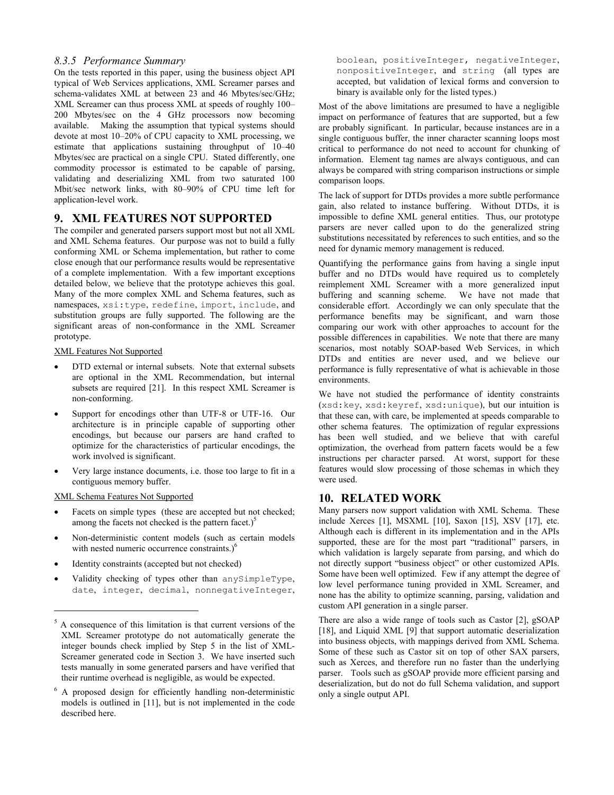#### *8.3.5 Performance Summary*

On the tests reported in this paper, using the business object API typical of Web Services applications, XML Screamer parses and schema-validates XML at between 23 and 46 Mbytes/sec/GHz; XML Screamer can thus process XML at speeds of roughly 100– 200 Mbytes/sec on the 4 GHz processors now becoming available. Making the assumption that typical systems should devote at most 10–20% of CPU capacity to XML processing, we estimate that applications sustaining throughput of 10–40 Mbytes/sec are practical on a single CPU. Stated differently, one commodity processor is estimated to be capable of parsing, validating and deserializing XML from two saturated 100 Mbit/sec network links, with 80–90% of CPU time left for application-level work.

### **9. XML FEATURES NOT SUPPORTED**

The compiler and generated parsers support most but not all XML and XML Schema features. Our purpose was not to build a fully conforming XML or Schema implementation, but rather to come close enough that our performance results would be representative of a complete implementation. With a few important exceptions detailed below, we believe that the prototype achieves this goal. Many of the more complex XML and Schema features, such as namespaces, xsi:type, redefine, import, include, and substitution groups are fully supported. The following are the significant areas of non-conformance in the XML Screamer prototype.

#### XML Features Not Supported

- DTD external or internal subsets. Note that external subsets are optional in the XML Recommendation, but internal subsets are required [21]. In this respect XML Screamer is non-conforming.
- Support for encodings other than UTF-8 or UTF-16. Our architecture is in principle capable of supporting other encodings, but because our parsers are hand crafted to optimize for the characteristics of particular encodings, the work involved is significant.
- Very large instance documents, i.e. those too large to fit in a contiguous memory buffer.

#### XML Schema Features Not Supported

 $\overline{a}$ 

- Facets on simple types (these are accepted but not checked; among the facets not checked is the pattern facet.) $<sup>5</sup>$ </sup>
- Non-deterministic content models (such as certain models with nested numeric occurrence constraints.)<sup>6</sup>
- Identity constraints (accepted but not checked)
- Validity checking of types other than anySimpleType, date, integer, decimal, nonnegativeInteger,

boolean, positiveInteger, negativeInteger, nonpositiveInteger, and string (all types are accepted, but validation of lexical forms and conversion to binary is available only for the listed types.)

Most of the above limitations are presumed to have a negligible impact on performance of features that are supported, but a few are probably significant. In particular, because instances are in a single contiguous buffer, the inner character scanning loops most critical to performance do not need to account for chunking of information. Element tag names are always contiguous, and can always be compared with string comparison instructions or simple comparison loops.

The lack of support for DTDs provides a more subtle performance gain, also related to instance buffering. Without DTDs, it is impossible to define XML general entities. Thus, our prototype parsers are never called upon to do the generalized string substitutions necessitated by references to such entities, and so the need for dynamic memory management is reduced.

Quantifying the performance gains from having a single input buffer and no DTDs would have required us to completely reimplement XML Screamer with a more generalized input buffering and scanning scheme. We have not made that considerable effort. Accordingly we can only speculate that the performance benefits may be significant, and warn those comparing our work with other approaches to account for the possible differences in capabilities. We note that there are many scenarios, most notably SOAP-based Web Services, in which DTDs and entities are never used, and we believe our performance is fully representative of what is achievable in those environments.

We have not studied the performance of identity constraints (xsd:key, xsd:keyref, xsd:unique), but our intuition is that these can, with care, be implemented at speeds comparable to other schema features. The optimization of regular expressions has been well studied, and we believe that with careful optimization, the overhead from pattern facets would be a few instructions per character parsed. At worst, support for these features would slow processing of those schemas in which they were used.

#### **10. RELATED WORK**

Many parsers now support validation with XML Schema. These include Xerces [1], MSXML [10], Saxon [15], XSV [17], etc. Although each is different in its implementation and in the APIs supported, these are for the most part "traditional" parsers, in which validation is largely separate from parsing, and which do not directly support "business object" or other customized APIs. Some have been well optimized. Few if any attempt the degree of low level performance tuning provided in XML Screamer, and none has the ability to optimize scanning, parsing, validation and custom API generation in a single parser.

There are also a wide range of tools such as Castor [2], gSOAP [18], and Liquid XML [9] that support automatic deserialization into business objects, with mappings derived from XML Schema. Some of these such as Castor sit on top of other SAX parsers, such as Xerces, and therefore run no faster than the underlying parser. Tools such as gSOAP provide more efficient parsing and deserialization, but do not do full Schema validation, and support only a single output API.

<sup>&</sup>lt;sup>5</sup> A consequence of this limitation is that current versions of the XML Screamer prototype do not automatically generate the integer bounds check implied by Step 5 in the list of XML-Screamer generated code in Section 3. We have inserted such tests manually in some generated parsers and have verified that their runtime overhead is negligible, as would be expected.

<sup>6</sup> A proposed design for efficiently handling non-deterministic models is outlined in [11], but is not implemented in the code described here.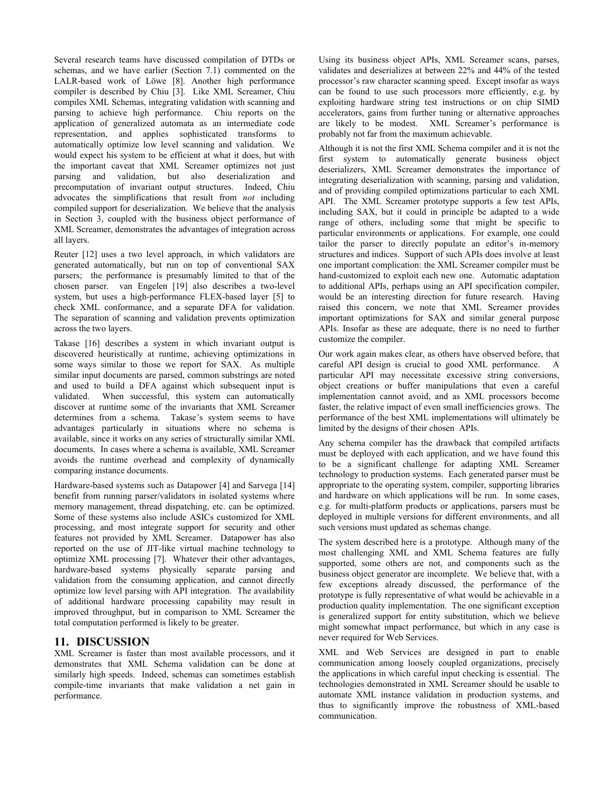Several research teams have discussed compilation of DTDs or schemas, and we have earlier (Section 7.1) commented on the LALR-based work of Löwe [8]. Another high performance compiler is described by Chiu [3]. Like XML Screamer, Chiu compiles XML Schemas, integrating validation with scanning and parsing to achieve high performance. Chiu reports on the application of generalized automata as an intermediate code representation, and applies sophisticated transforms to automatically optimize low level scanning and validation. We would expect his system to be efficient at what it does, but with the important caveat that XML Screamer optimizes not just parsing and validation, but also deserialization and precomputation of invariant output structures. Indeed, Chiu advocates the simplifications that result from *not* including compiled support for deserialization. We believe that the analysis in Section 3, coupled with the business object performance of XML Screamer, demonstrates the advantages of integration across all layers.

Reuter [12] uses a two level approach, in which validators are generated automatically, but run on top of conventional SAX parsers; the performance is presumably limited to that of the chosen parser. van Engelen [19] also describes a two-level system, but uses a high-performance FLEX-based layer [5] to check XML conformance, and a separate DFA for validation. The separation of scanning and validation prevents optimization across the two layers.

Takase [16] describes a system in which invariant output is discovered heuristically at runtime, achieving optimizations in some ways similar to those we report for SAX. As multiple similar input documents are parsed, common substrings are noted and used to build a DFA against which subsequent input is validated. When successful, this system can automatically discover at runtime some of the invariants that XML Screamer determines from a schema. Takase's system seems to have advantages particularly in situations where no schema is available, since it works on any series of structurally similar XML documents. In cases where a schema is available, XML Screamer avoids the runtime overhead and complexity of dynamically comparing instance documents.

Hardware-based systems such as Datapower [4] and Sarvega [14] benefit from running parser/validators in isolated systems where memory management, thread dispatching, etc. can be optimized. Some of these systems also include ASICs customized for XML processing, and most integrate support for security and other features not provided by XML Screamer. Datapower has also reported on the use of JIT-like virtual machine technology to optimize XML processing [7]. Whatever their other advantages, hardware-based systems physically separate parsing and validation from the consuming application, and cannot directly optimize low level parsing with API integration. The availability of additional hardware processing capability may result in improved throughput, but in comparison to XML Screamer the total computation performed is likely to be greater.

#### **11. DISCUSSION**

XML Screamer is faster than most available processors, and it demonstrates that XML Schema validation can be done at similarly high speeds. Indeed, schemas can sometimes establish compile-time invariants that make validation a net gain in performance.

Using its business object APIs, XML Screamer scans, parses, validates and deserializes at between 22% and 44% of the tested processor's raw character scanning speed. Except insofar as ways can be found to use such processors more efficiently, e.g. by exploiting hardware string test instructions or on chip SIMD accelerators, gains from further tuning or alternative approaches are likely to be modest. XML Screamer's performance is probably not far from the maximum achievable.

Although it is not the first XML Schema compiler and it is not the first system to automatically generate business object deserializers, XML Screamer demonstrates the importance of integrating deserialization with scanning, parsing and validation, and of providing compiled optimizations particular to each XML API. The XML Screamer prototype supports a few test APIs, including SAX, but it could in principle be adapted to a wide range of others, including some that might be specific to particular environments or applications. For example, one could tailor the parser to directly populate an editor's in-memory structures and indices. Support of such APIs does involve at least one important complication: the XML Screamer compiler must be hand-customized to exploit each new one. Automatic adaptation to additional APIs, perhaps using an API specification compiler, would be an interesting direction for future research. Having raised this concern, we note that XML Screamer provides important optimizations for SAX and similar general purpose APIs. Insofar as these are adequate, there is no need to further customize the compiler.

Our work again makes clear, as others have observed before, that careful API design is crucial to good XML performance. A particular API may necessitate excessive string conversions, object creations or buffer manipulations that even a careful implementation cannot avoid, and as XML processors become faster, the relative impact of even small inefficiencies grows. The performance of the best XML implementations will ultimately be limited by the designs of their chosen APIs.

Any schema compiler has the drawback that compiled artifacts must be deployed with each application, and we have found this to be a significant challenge for adapting XML Screamer technology to production systems. Each generated parser must be appropriate to the operating system, compiler, supporting libraries and hardware on which applications will be run. In some cases, e.g. for multi-platform products or applications, parsers must be deployed in multiple versions for different environments, and all such versions must updated as schemas change.

The system described here is a prototype. Although many of the most challenging XML and XML Schema features are fully supported, some others are not, and components such as the business object generator are incomplete. We believe that, with a few exceptions already discussed, the performance of the prototype is fully representative of what would be achievable in a production quality implementation. The one significant exception is generalized support for entity substitution, which we believe might somewhat impact performance, but which in any case is never required for Web Services.

XML and Web Services are designed in part to enable communication among loosely coupled organizations, precisely the applications in which careful input checking is essential. The technologies demonstrated in XML Screamer should be usable to automate XML instance validation in production systems, and thus to significantly improve the robustness of XML-based communication.